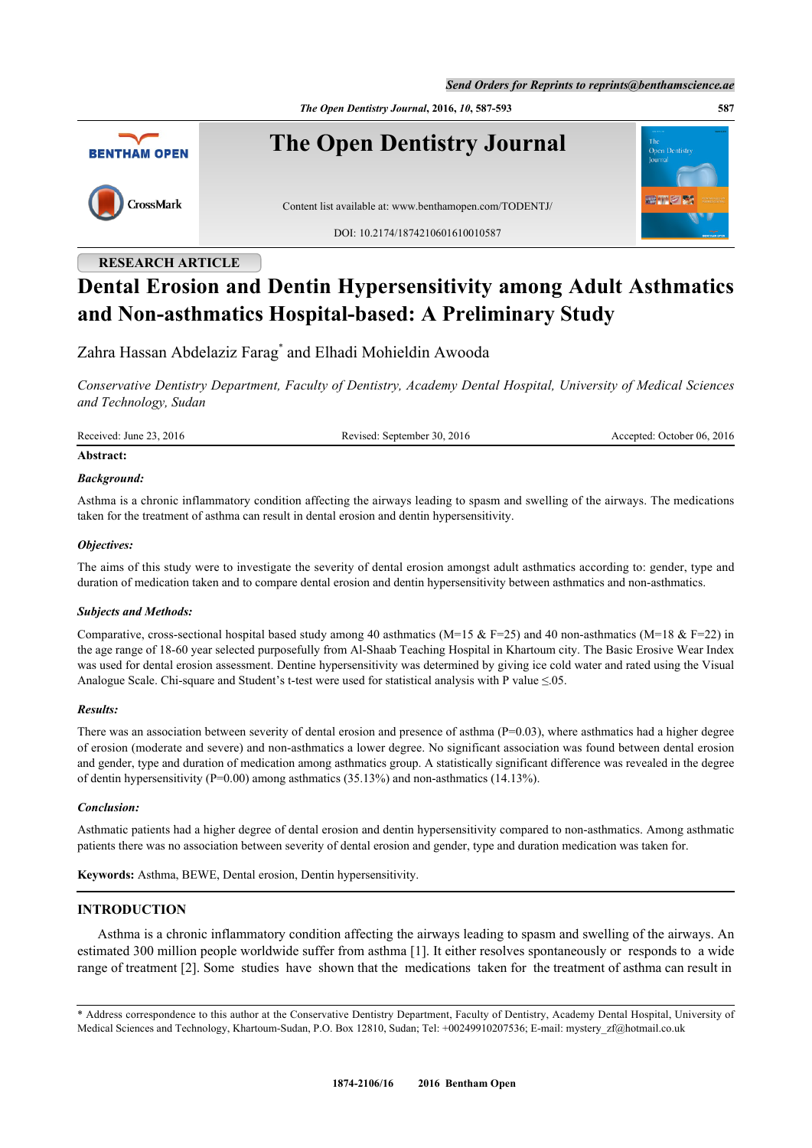*Send Orders for Reprints to reprints@benthamscience.ae*

*The Open Dentistry Journal***, 2016,** *10***, 587-593 587**



## **RESEARCH ARTICLE**

# **Dental Erosion and Dentin Hypersensitivity among Adult Asthmatics and Non-asthmatics Hospital-based: A Preliminary Study**

Zahra Hassan Abdelaziz Farag[\\*](#page-0-0) and Elhadi Mohieldin Awooda

*Conservative Dentistry Department, Faculty of Dentistry, Academy Dental Hospital, University of Medical Sciences and Technology, Sudan*

Received: June 23, 2016 Revised: September 30, 2016 Accepted: October 06, 2016

## **Abstract:**

#### *Background:*

Asthma is a chronic inflammatory condition affecting the airways leading to spasm and swelling of the airways. The medications taken for the treatment of asthma can result in dental erosion and dentin hypersensitivity.

## *Objectives:*

The aims of this study were to investigate the severity of dental erosion amongst adult asthmatics according to: gender, type and duration of medication taken and to compare dental erosion and dentin hypersensitivity between asthmatics and non-asthmatics.

## *Subjects and Methods:*

Comparative, cross-sectional hospital based study among 40 asthmatics (M=15 & F=25) and 40 non-asthmatics (M=18 & F=22) in the age range of 18-60 year selected purposefully from Al-Shaab Teaching Hospital in Khartoum city. The Basic Erosive Wear Index was used for dental erosion assessment. Dentine hypersensitivity was determined by giving ice cold water and rated using the Visual Analogue Scale. Chi-square and Student's t-test were used for statistical analysis with P value ≤.05.

## *Results:*

There was an association between severity of dental erosion and presence of asthma  $(P=0.03)$ , where asthmatics had a higher degree of erosion (moderate and severe) and non-asthmatics a lower degree. No significant association was found between dental erosion and gender, type and duration of medication among asthmatics group. A statistically significant difference was revealed in the degree of dentin hypersensitivity ( $P=0.00$ ) among asthmatics (35.13%) and non-asthmatics (14.13%).

## *Conclusion:*

Asthmatic patients had a higher degree of dental erosion and dentin hypersensitivity compared to non-asthmatics. Among asthmatic patients there was no association between severity of dental erosion and gender, type and duration medication was taken for.

**Keywords:** Asthma, BEWE, Dental erosion, Dentin hypersensitivity.

## **INTRODUCTION**

Asthma is a chronic inflammatory condition affecting the airways leading to spasm and swelling of the airways. An estimated 300 million people worldwide suffer from asthma [\[1](#page-5-0)]. It either resolves spontaneously or responds to a wide range of treatment [[2\]](#page-5-1). Some studies have shown that the medications taken for the treatment of asthma can result in

<span id="page-0-0"></span><sup>\*</sup> Address correspondence to this author at the Conservative Dentistry Department, Faculty of Dentistry, Academy Dental Hospital, University of Medical Sciences and Technology, Khartoum-Sudan, P.O. Box 12810, Sudan; Tel: +00249910207536; E-mail: [mystery\\_zf@hotmail.co.uk](mailto:mystery_zf@hotmail.co.uk)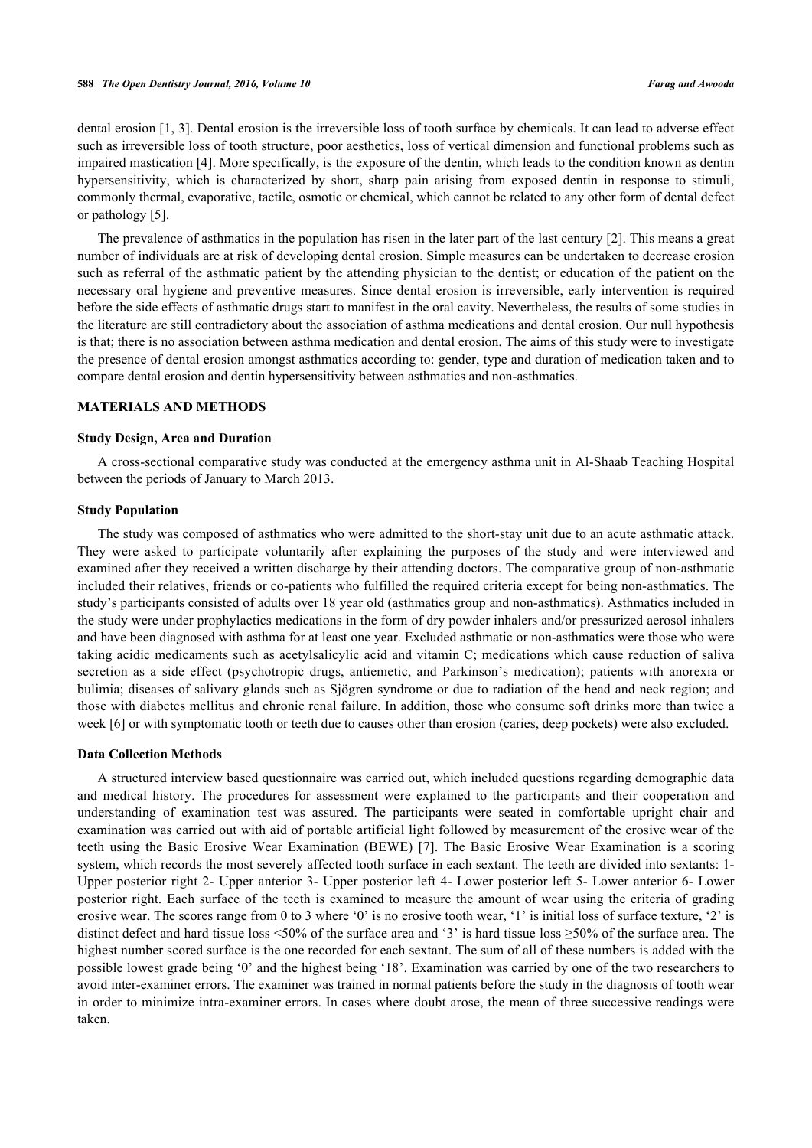dental erosion [\[1](#page-5-0), [3\]](#page-5-2). Dental erosion is the irreversible loss of tooth surface by chemicals. It can lead to adverse effect such as irreversible loss of tooth structure, poor aesthetics, loss of vertical dimension and functional problems such as impaired mastication [\[4](#page-5-3)]. More specifically, is the exposure of the dentin, which leads to the condition known as dentin hypersensitivity, which is characterized by short, sharp pain arising from exposed dentin in response to stimuli, commonly thermal, evaporative, tactile, osmotic or chemical, which cannot be related to any other form of dental defect or pathology [\[5](#page-5-4)].

The prevalence of asthmatics in the population has risen in the later part of the last century [\[2](#page-5-1)]. This means a great number of individuals are at risk of developing dental erosion. Simple measures can be undertaken to decrease erosion such as referral of the asthmatic patient by the attending physician to the dentist; or education of the patient on the necessary oral hygiene and preventive measures. Since dental erosion is irreversible, early intervention is required before the side effects of asthmatic drugs start to manifest in the oral cavity. Nevertheless, the results of some studies in the literature are still contradictory about the association of asthma medications and dental erosion. Our null hypothesis is that; there is no association between asthma medication and dental erosion. The aims of this study were to investigate the presence of dental erosion amongst asthmatics according to: gender, type and duration of medication taken and to compare dental erosion and dentin hypersensitivity between asthmatics and non-asthmatics.

#### **MATERIALS AND METHODS**

#### **Study Design, Area and Duration**

A cross-sectional comparative study was conducted at the emergency asthma unit in Al-Shaab Teaching Hospital between the periods of January to March 2013.

## **Study Population**

The study was composed of asthmatics who were admitted to the short-stay unit due to an acute asthmatic attack. They were asked to participate voluntarily after explaining the purposes of the study and were interviewed and examined after they received a written discharge by their attending doctors. The comparative group of non-asthmatic included their relatives, friends or co-patients who fulfilled the required criteria except for being non-asthmatics. The study's participants consisted of adults over 18 year old (asthmatics group and non-asthmatics). Asthmatics included in the study were under prophylactics medications in the form of dry powder inhalers and/or pressurized aerosol inhalers and have been diagnosed with asthma for at least one year. Excluded asthmatic or non-asthmatics were those who were taking acidic medicaments such as acetylsalicylic acid and vitamin C; medications which cause reduction of saliva secretion as a side effect (psychotropic drugs, antiemetic, and Parkinson's medication); patients with anorexia or bulimia; diseases of salivary glands such as Sjögren syndrome or due to radiation of the head and neck region; and those with diabetes mellitus and chronic renal failure. In addition, those who consume soft drinks more than twice a week [[6\]](#page-5-5) or with symptomatic tooth or teeth due to causes other than erosion (caries, deep pockets) were also excluded.

#### **Data Collection Methods**

A structured interview based questionnaire was carried out, which included questions regarding demographic data and medical history. The procedures for assessment were explained to the participants and their cooperation and understanding of examination test was assured. The participants were seated in comfortable upright chair and examination was carried out with aid of portable artificial light followed by measurement of the erosive wear of the teeth using the Basic Erosive Wear Examination (BEWE) [\[7](#page-5-6)]. The Basic Erosive Wear Examination is a scoring system, which records the most severely affected tooth surface in each sextant. The teeth are divided into sextants: 1- Upper posterior right 2- Upper anterior 3- Upper posterior left 4- Lower posterior left 5- Lower anterior 6- Lower posterior right. Each surface of the teeth is examined to measure the amount of wear using the criteria of grading erosive wear. The scores range from 0 to 3 where '0' is no erosive tooth wear, '1' is initial loss of surface texture, '2' is distinct defect and hard tissue loss <50% of the surface area and '3' is hard tissue loss ≥50% of the surface area. The highest number scored surface is the one recorded for each sextant. The sum of all of these numbers is added with the possible lowest grade being '0' and the highest being '18'. Examination was carried by one of the two researchers to avoid inter-examiner errors. The examiner was trained in normal patients before the study in the diagnosis of tooth wear in order to minimize intra-examiner errors. In cases where doubt arose, the mean of three successive readings were taken.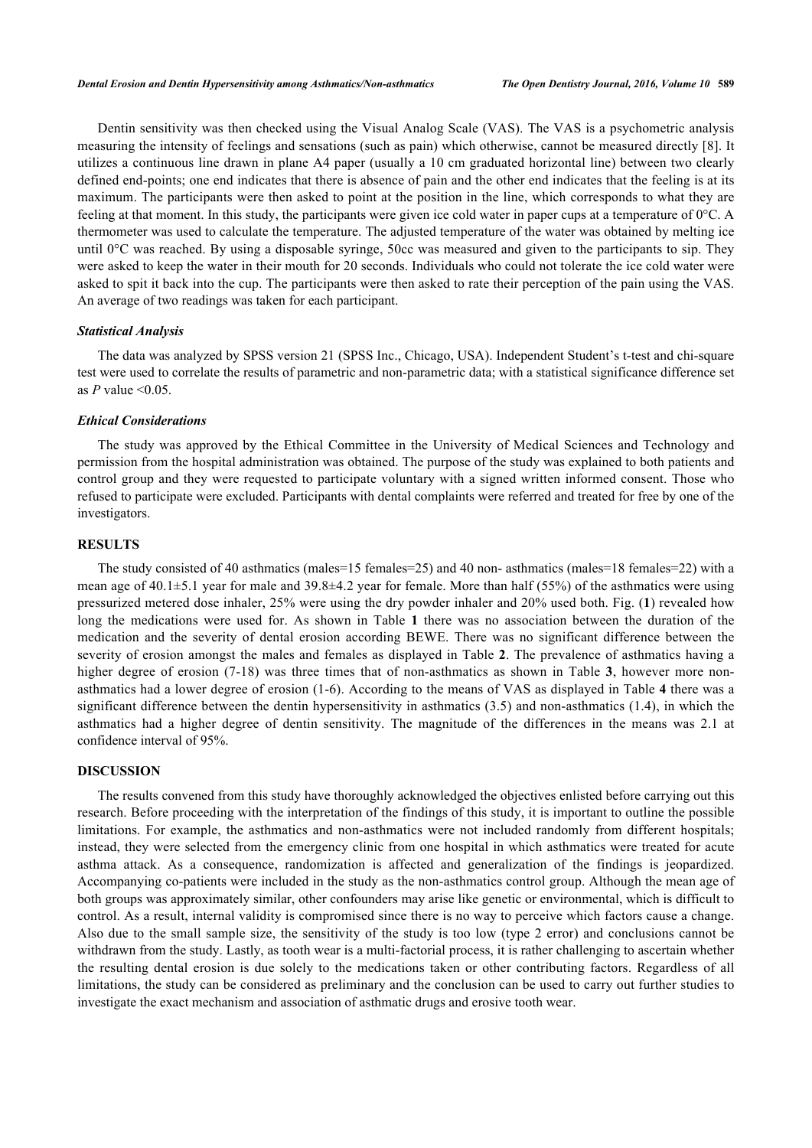Dentin sensitivity was then checked using the Visual Analog Scale (VAS). The VAS is a psychometric analysis measuring the intensity of feelings and sensations (such as pain) which otherwise, cannot be measured directly [\[8\]](#page-5-7). It utilizes a continuous line drawn in plane A4 paper (usually a 10 cm graduated horizontal line) between two clearly defined end-points; one end indicates that there is absence of pain and the other end indicates that the feeling is at its maximum. The participants were then asked to point at the position in the line, which corresponds to what they are feeling at that moment. In this study, the participants were given ice cold water in paper cups at a temperature of 0°C. A thermometer was used to calculate the temperature. The adjusted temperature of the water was obtained by melting ice until 0°C was reached. By using a disposable syringe, 50cc was measured and given to the participants to sip. They were asked to keep the water in their mouth for 20 seconds. Individuals who could not tolerate the ice cold water were asked to spit it back into the cup. The participants were then asked to rate their perception of the pain using the VAS. An average of two readings was taken for each participant.

#### *Statistical Analysis*

The data was analyzed by SPSS version 21 (SPSS Inc., Chicago, USA). Independent Student's t-test and chi-square test were used to correlate the results of parametric and non-parametric data; with a statistical significance difference set as  $P$  value  $\leq 0.05$ .

#### *Ethical Considerations*

The study was approved by the Ethical Committee in the University of Medical Sciences and Technology and permission from the hospital administration was obtained. The purpose of the study was explained to both patients and control group and they were requested to participate voluntary with a signed written informed consent. Those who refused to participate were excluded. Participants with dental complaints were referred and treated for free by one of the investigators.

## **RESULTS**

The study consisted of 40 asthmatics (males=15 females=25) and 40 non- asthmatics (males=18 females=22) with a mean age of  $40.1\pm5.1$  year for male and  $39.8\pm4.2$  year for female. More than half (55%) of the asthmatics were using pressurized metered dose inhaler, 25% were using the dry powder inhaler and 20% used both. Fig. (**[1](#page-3-0)**) revealed how long the medications were used for. As shown in Table**1** there was no association between the duration of the medication and the severity of dental erosion according BEWE. There was no significant difference between the severity of erosion amongst the males and females as displayed in Table **[2](#page-3-2)**. The prevalence of asthmatics having a higher degree of erosion (7-18) was three times that of non-asthmatics as shown in Table**3**, however more nonasthmatics had a lower degree of erosion (1-6). According to the means of VAS as displayed in Table **[4](#page-3-4)** there was a significant difference between the dentin hypersensitivity in asthmatics (3.5) and non-asthmatics (1.4), in which the asthmatics had a higher degree of dentin sensitivity. The magnitude of the differences in the means was 2.1 at confidence interval of 95%.

## **DISCUSSION**

The results convened from this study have thoroughly acknowledged the objectives enlisted before carrying out this research. Before proceeding with the interpretation of the findings of this study, it is important to outline the possible limitations. For example, the asthmatics and non-asthmatics were not included randomly from different hospitals; instead, they were selected from the emergency clinic from one hospital in which asthmatics were treated for acute asthma attack. As a consequence, randomization is affected and generalization of the findings is jeopardized. Accompanying co-patients were included in the study as the non-asthmatics control group. Although the mean age of both groups was approximately similar, other confounders may arise like genetic or environmental, which is difficult to control. As a result, internal validity is compromised since there is no way to perceive which factors cause a change. Also due to the small sample size, the sensitivity of the study is too low (type 2 error) and conclusions cannot be withdrawn from the study. Lastly, as tooth wear is a multi-factorial process, it is rather challenging to ascertain whether the resulting dental erosion is due solely to the medications taken or other contributing factors. Regardless of all limitations, the study can be considered as preliminary and the conclusion can be used to carry out further studies to investigate the exact mechanism and association of asthmatic drugs and erosive tooth wear.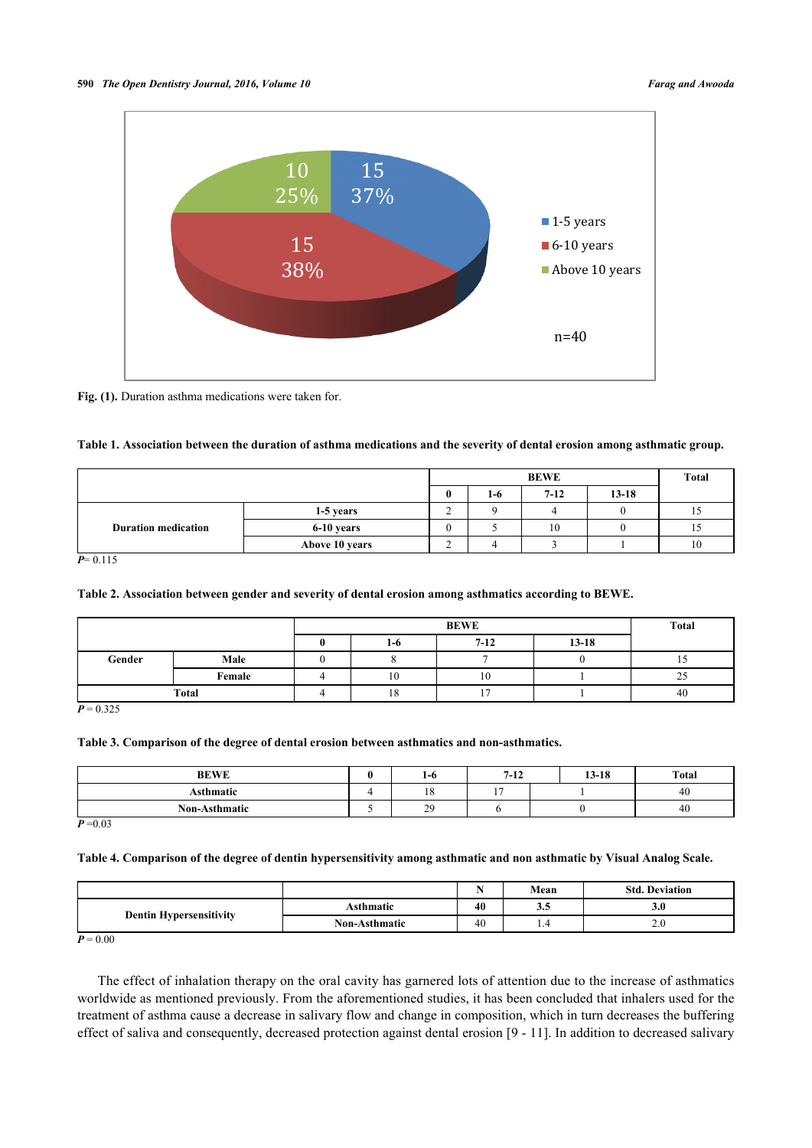<span id="page-3-0"></span>

Fig. (1). Duration asthma medications were taken for.

## <span id="page-3-1"></span>**Table 1. Association between the duration of asthma medications and the severity of dental erosion among asthmatic group.**

|                            |                |   | <b>Total</b> |          |           |    |
|----------------------------|----------------|---|--------------|----------|-----------|----|
|                            |                | 0 | 1-6          | $7 - 12$ | $13 - 18$ |    |
| <b>Duration medication</b> | 1-5 years      | ∸ |              |          |           | 15 |
|                            | 6-10 years     |   |              | 10       |           |    |
|                            | Above 10 years |   |              |          |           | 10 |

 $P= 0.115$ 

## <span id="page-3-2"></span>**Table 2. Association between gender and severity of dental erosion among asthmatics according to BEWE.**

|              |        |  | Total |          |           |               |
|--------------|--------|--|-------|----------|-----------|---------------|
|              |        |  | $1-6$ | $7 - 12$ | $13 - 18$ |               |
| Gender       | Male   |  |       |          |           |               |
|              | Female |  | 10    | 10       |           | $\sim$<br>ر ے |
| <b>Total</b> |        |  | 18    | $1 -$    |           | 40            |

 $P = 0.325$ 

#### <span id="page-3-3"></span>**Table 3. Comparison of the degree of dental erosion between asthmatics and non-asthmatics.**

| <b>BEWE</b>   | 1-0 | 7-12 | $13 - 18$ |  | <b>Total</b> |
|---------------|-----|------|-----------|--|--------------|
| Asthmatic     | 10  |      |           |  | 40           |
| Non-Asthmatic | 29  |      |           |  | 40           |

 $P = 0.03$ 

## <span id="page-3-4"></span>**Table 4. Comparison of the degree of dentin hypersensitivity among asthmatic and non asthmatic by Visual Analog Scale.**

|                                |                      | . . | Mean | <b>Std. Deviation</b> |
|--------------------------------|----------------------|-----|------|-----------------------|
| <b>Dentin Hypersensitivity</b> | Asthmatic            | 40  | ບ.ບ  | 3.U                   |
|                                | <b>Non-Asthmatic</b> | 40  | 1.4  | $\mathcal{L}$ . U     |

 $P = 0.00$ 

The effect of inhalation therapy on the oral cavity has garnered lots of attention due to the increase of asthmatics worldwide as mentioned previously. From the aforementioned studies, it has been concluded that inhalers used for the treatment of asthma cause a decrease in salivary flow and change in composition, which in turn decreases the buffering effect of saliva and consequently, decreased protection against dental erosion [[9](#page-5-8) - [11\]](#page-5-9). In addition to decreased salivary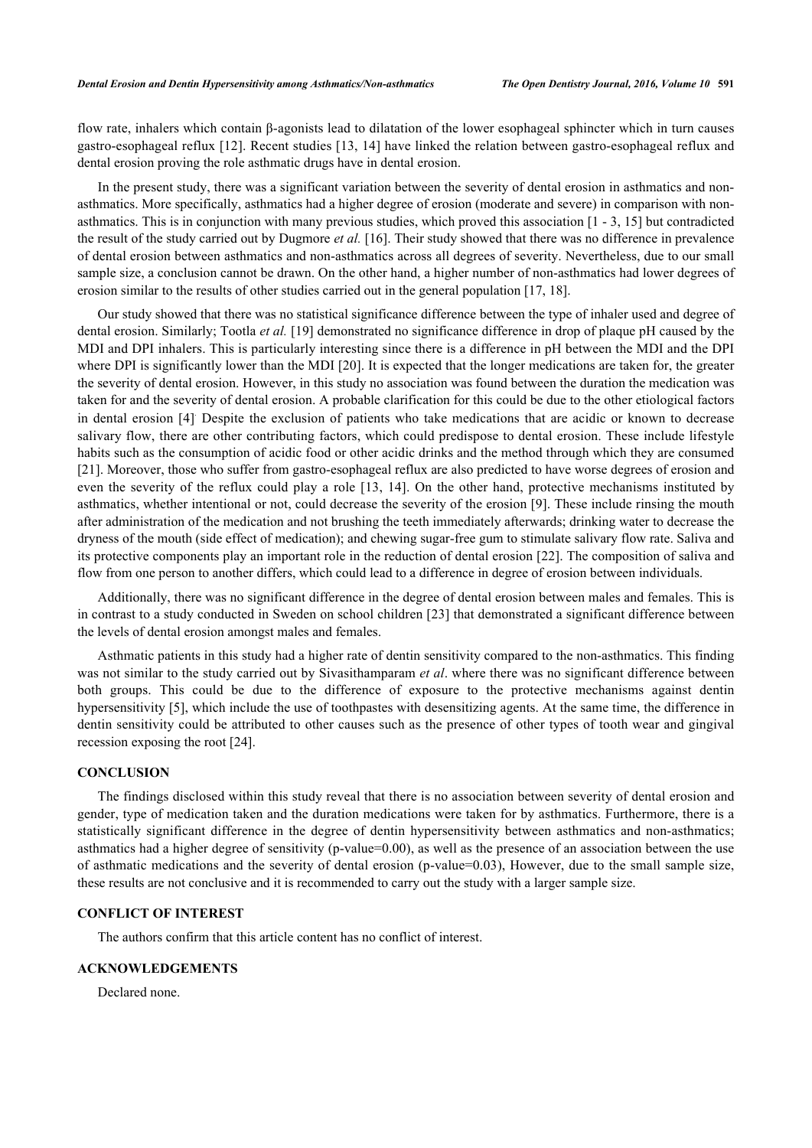flow rate, inhalers which contain β-agonists lead to dilatation of the lower esophageal sphincter which in turn causes gastro-esophageal reflux [\[12\]](#page-5-10). Recent studies [[13,](#page-5-11) [14\]](#page-5-12) have linked the relation between gastro-esophageal reflux and dental erosion proving the role asthmatic drugs have in dental erosion.

In the present study, there was a significant variation between the severity of dental erosion in asthmatics and nonasthmatics. More specifically, asthmatics had a higher degree of erosion (moderate and severe) in comparison with nonasthmatics. This is in conjunction with many previous studies, which proved this association [\[1](#page-5-0) - [3,](#page-5-2) [15\]](#page-5-13) but contradicted the result of the study carried out by Dugmore *et al.* [[16\]](#page-5-14). Their study showed that there was no difference in prevalence of dental erosion between asthmatics and non-asthmatics across all degrees of severity. Nevertheless, due to our small sample size, a conclusion cannot be drawn. On the other hand, a higher number of non-asthmatics had lower degrees of erosion similar to the results of other studies carried out in the general population [[17,](#page-5-15) [18\]](#page-5-16).

Our study showed that there was no statistical significance difference between the type of inhaler used and degree of dental erosion. Similarly; Tootla *et al.* [[19\]](#page-5-17) demonstrated no significance difference in drop of plaque pH caused by the MDI and DPI inhalers. This is particularly interesting since there is a difference in pH between the MDI and the DPI where DPI is significantly lower than the MDI [\[20](#page-5-18)]. It is expected that the longer medications are taken for, the greater the severity of dental erosion. However, in this study no association was found between the duration the medication was taken for and the severity of dental erosion. A probable clarification for this could be due to the other etiological factors in dental erosion [\[4](#page-5-3)] . Despite the exclusion of patients who take medications that are acidic or known to decrease salivary flow, there are other contributing factors, which could predispose to dental erosion. These include lifestyle habits such as the consumption of acidic food or other acidic drinks and the method through which they are consumed [\[21](#page-5-19)]. Moreover, those who suffer from gastro-esophageal reflux are also predicted to have worse degrees of erosion and even the severity of the reflux could play a role [[13](#page-5-11), [14\]](#page-5-12). On the other hand, protective mechanisms instituted by asthmatics, whether intentional or not, could decrease the severity of the erosion [[9\]](#page-5-8). These include rinsing the mouth after administration of the medication and not brushing the teeth immediately afterwards; drinking water to decrease the dryness of the mouth (side effect of medication); and chewing sugar-free gum to stimulate salivary flow rate. Saliva and its protective components play an important role in the reduction of dental erosion [[22](#page-5-20)]. The composition of saliva and flow from one person to another differs, which could lead to a difference in degree of erosion between individuals.

Additionally, there was no significant difference in the degree of dental erosion between males and females. This is in contrast to a study conducted in Sweden on school children [\[23](#page-5-21)] that demonstrated a significant difference between the levels of dental erosion amongst males and females.

Asthmatic patients in this study had a higher rate of dentin sensitivity compared to the non-asthmatics. This finding was not similar to the study carried out by Sivasithamparam *et al*. where there was no significant difference between both groups. This could be due to the difference of exposure to the protective mechanisms against dentin hypersensitivity [\[5](#page-5-4)], which include the use of toothpastes with desensitizing agents. At the same time, the difference in dentin sensitivity could be attributed to other causes such as the presence of other types of tooth wear and gingival recession exposing the root [[24\]](#page-6-0).

## **CONCLUSION**

The findings disclosed within this study reveal that there is no association between severity of dental erosion and gender, type of medication taken and the duration medications were taken for by asthmatics. Furthermore, there is a statistically significant difference in the degree of dentin hypersensitivity between asthmatics and non-asthmatics; asthmatics had a higher degree of sensitivity (p-value=0.00), as well as the presence of an association between the use of asthmatic medications and the severity of dental erosion (p-value=0.03), However, due to the small sample size, these results are not conclusive and it is recommended to carry out the study with a larger sample size.

## **CONFLICT OF INTEREST**

The authors confirm that this article content has no conflict of interest.

## **ACKNOWLEDGEMENTS**

Declared none.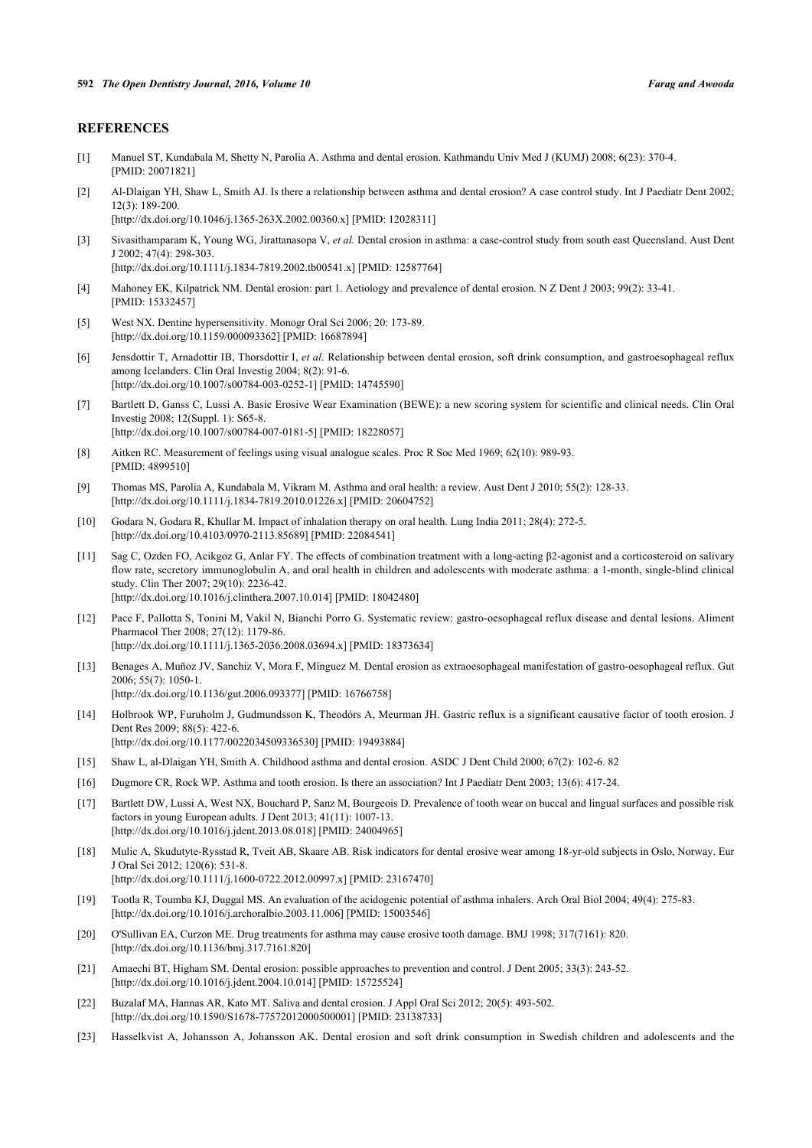## **REFERENCES**

- <span id="page-5-0"></span>[1] Manuel ST, Kundabala M, Shetty N, Parolia A. Asthma and dental erosion. Kathmandu Univ Med J (KUMJ) 2008; 6(23): 370-4. [PMID: [20071821\]](http://www.ncbi.nlm.nih.gov/pubmed/20071821)
- <span id="page-5-1"></span>[2] Al-Dlaigan YH, Shaw L, Smith AJ. Is there a relationship between asthma and dental erosion? A case control study. Int J Paediatr Dent 2002; 12(3): 189-200. [\[http://dx.doi.org/10.1046/j.1365-263X.2002.00360.x](http://dx.doi.org/10.1046/j.1365-263X.2002.00360.x)] [PMID: [12028311](http://www.ncbi.nlm.nih.gov/pubmed/12028311)]
- <span id="page-5-2"></span>[3] Sivasithamparam K, Young WG, Jirattanasopa V, *et al.* Dental erosion in asthma: a case-control study from south east Queensland. Aust Dent J 2002; 47(4): 298-303.

[\[http://dx.doi.org/10.1111/j.1834-7819.2002.tb00541.x\]](http://dx.doi.org/10.1111/j.1834-7819.2002.tb00541.x) [PMID: [12587764](http://www.ncbi.nlm.nih.gov/pubmed/12587764)]

- <span id="page-5-3"></span>[4] Mahoney EK, Kilpatrick NM. Dental erosion: part 1. Aetiology and prevalence of dental erosion. N Z Dent J 2003; 99(2): 33-41. [PMID: [15332457\]](http://www.ncbi.nlm.nih.gov/pubmed/15332457)
- <span id="page-5-4"></span>[5] West NX. Dentine hypersensitivity. Monogr Oral Sci 2006; 20: 173-89. [\[http://dx.doi.org/10.1159/000093362\]](http://dx.doi.org/10.1159/000093362) [PMID: [16687894](http://www.ncbi.nlm.nih.gov/pubmed/16687894)]
- <span id="page-5-5"></span>[6] Jensdottir T, Arnadottir IB, Thorsdottir I, *et al.* Relationship between dental erosion, soft drink consumption, and gastroesophageal reflux among Icelanders. Clin Oral Investig 2004; 8(2): 91-6. [\[http://dx.doi.org/10.1007/s00784-003-0252-1\]](http://dx.doi.org/10.1007/s00784-003-0252-1) [PMID: [14745590](http://www.ncbi.nlm.nih.gov/pubmed/14745590)]
- <span id="page-5-6"></span>[7] Bartlett D, Ganss C, Lussi A. Basic Erosive Wear Examination (BEWE): a new scoring system for scientific and clinical needs. Clin Oral Investig 2008; 12(Suppl. 1): S65-8. [\[http://dx.doi.org/10.1007/s00784-007-0181-5\]](http://dx.doi.org/10.1007/s00784-007-0181-5) [PMID: [18228057](http://www.ncbi.nlm.nih.gov/pubmed/18228057)]
- <span id="page-5-7"></span>[8] Aitken RC. Measurement of feelings using visual analogue scales. Proc R Soc Med 1969; 62(10): 989-93. [PMID: [4899510\]](http://www.ncbi.nlm.nih.gov/pubmed/4899510)
- <span id="page-5-8"></span>[9] Thomas MS, Parolia A, Kundabala M, Vikram M. Asthma and oral health: a review. Aust Dent J 2010; 55(2): 128-33. [\[http://dx.doi.org/10.1111/j.1834-7819.2010.01226.x\]](http://dx.doi.org/10.1111/j.1834-7819.2010.01226.x) [PMID: [20604752](http://www.ncbi.nlm.nih.gov/pubmed/20604752)]
- [10] Godara N, Godara R, Khullar M. Impact of inhalation therapy on oral health. Lung India 2011; 28(4): 272-5. [\[http://dx.doi.org/10.4103/0970-2113.85689](http://dx.doi.org/10.4103/0970-2113.85689)] [PMID: [22084541](http://www.ncbi.nlm.nih.gov/pubmed/22084541)]
- <span id="page-5-9"></span>[11] Sag C, Ozden FO, Acikgoz G, Anlar FY. The effects of combination treatment with a long-acting β2-agonist and a corticosteroid on salivary flow rate, secretory immunoglobulin A, and oral health in children and adolescents with moderate asthma: a 1-month, single-blind clinical study. Clin Ther 2007; 29(10): 2236-42. [\[http://dx.doi.org/10.1016/j.clinthera.2007.10.014](http://dx.doi.org/10.1016/j.clinthera.2007.10.014)] [PMID: [18042480\]](http://www.ncbi.nlm.nih.gov/pubmed/18042480)
- <span id="page-5-10"></span>[12] Pace F, Pallotta S, Tonini M, Vakil N, Bianchi Porro G. Systematic review: gastro-oesophageal reflux disease and dental lesions. Aliment Pharmacol Ther 2008; 27(12): 1179-86. [\[http://dx.doi.org/10.1111/j.1365-2036.2008.03694.x\]](http://dx.doi.org/10.1111/j.1365-2036.2008.03694.x) [PMID: [18373634](http://www.ncbi.nlm.nih.gov/pubmed/18373634)]
- <span id="page-5-11"></span>[13] Benages A, Muñoz JV, Sanchiz V, Mora F, Mínguez M. Dental erosion as extraoesophageal manifestation of gastro-oesophageal reflux. Gut 2006; 55(7): 1050-1.
	- [\[http://dx.doi.org/10.1136/gut.2006.093377](http://dx.doi.org/10.1136/gut.2006.093377)] [PMID: [16766758\]](http://www.ncbi.nlm.nih.gov/pubmed/16766758)
- <span id="page-5-12"></span>[14] Holbrook WP, Furuholm J, Gudmundsson K, Theodórs A, Meurman JH. Gastric reflux is a significant causative factor of tooth erosion. J Dent Res 2009; 88(5): 422-6. [\[http://dx.doi.org/10.1177/0022034509336530\]](http://dx.doi.org/10.1177/0022034509336530) [PMID: [19493884](http://www.ncbi.nlm.nih.gov/pubmed/19493884)]
- <span id="page-5-13"></span>[15] Shaw L, al-Dlaigan YH, Smith A. Childhood asthma and dental erosion. ASDC J Dent Child 2000; 67(2): 102-6. 82
- <span id="page-5-14"></span>[16] Dugmore CR, Rock WP. Asthma and tooth erosion. Is there an association? Int J Paediatr Dent 2003; 13(6): 417-24.
- <span id="page-5-15"></span>[17] Bartlett DW, Lussi A, West NX, Bouchard P, Sanz M, Bourgeois D. Prevalence of tooth wear on buccal and lingual surfaces and possible risk factors in young European adults. J Dent 2013; 41(11): 1007-13. [\[http://dx.doi.org/10.1016/j.jdent.2013.08.018](http://dx.doi.org/10.1016/j.jdent.2013.08.018)] [PMID: [24004965\]](http://www.ncbi.nlm.nih.gov/pubmed/24004965)
- <span id="page-5-16"></span>[18] Mulic A, Skudutyte-Rysstad R, Tveit AB, Skaare AB. Risk indicators for dental erosive wear among 18-yr-old subjects in Oslo, Norway. Eur J Oral Sci 2012; 120(6): 531-8. [\[http://dx.doi.org/10.1111/j.1600-0722.2012.00997.x\]](http://dx.doi.org/10.1111/j.1600-0722.2012.00997.x) [PMID: [23167470](http://www.ncbi.nlm.nih.gov/pubmed/23167470)]
- <span id="page-5-17"></span>[19] Tootla R, Toumba KJ, Duggal MS. An evaluation of the acidogenic potential of asthma inhalers. Arch Oral Biol 2004; 49(4): 275-83. [\[http://dx.doi.org/10.1016/j.archoralbio.2003.11.006](http://dx.doi.org/10.1016/j.archoralbio.2003.11.006)] [PMID: [15003546](http://www.ncbi.nlm.nih.gov/pubmed/15003546)]
- <span id="page-5-18"></span>[20] O'Sullivan EA, Curzon ME. Drug treatments for asthma may cause erosive tooth damage. BMJ 1998; 317(7161): 820. [\[http://dx.doi.org/10.1136/bmj.317.7161.820](http://dx.doi.org/10.1136/bmj.317.7161.820)]
- <span id="page-5-19"></span>[21] Amaechi BT, Higham SM. Dental erosion: possible approaches to prevention and control. J Dent 2005; 33(3): 243-52. [\[http://dx.doi.org/10.1016/j.jdent.2004.10.014](http://dx.doi.org/10.1016/j.jdent.2004.10.014)] [PMID: [15725524\]](http://www.ncbi.nlm.nih.gov/pubmed/15725524)
- <span id="page-5-20"></span>[22] Buzalaf MA, Hannas AR, Kato MT. Saliva and dental erosion. J Appl Oral Sci 2012; 20(5): 493-502. [\[http://dx.doi.org/10.1590/S1678-77572012000500001\]](http://dx.doi.org/10.1590/S1678-77572012000500001) [PMID: [23138733](http://www.ncbi.nlm.nih.gov/pubmed/23138733)]
- <span id="page-5-21"></span>[23] Hasselkvist A, Johansson A, Johansson AK. Dental erosion and soft drink consumption in Swedish children and adolescents and the